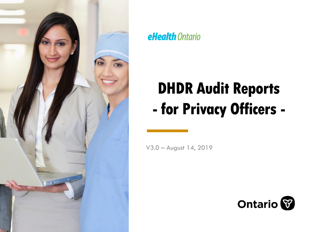

### **eHealth** Ontario

# **DHDR Audit Reports - for Privacy Officers -**

V3.0 – August 14, 2019

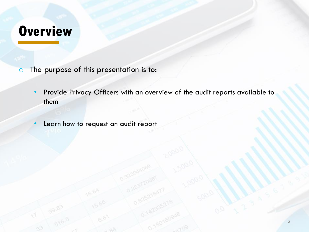### **Overview**

- o The purpose of this presentation is to:
	- Provide Privacy Officers with an overview of the audit reports available to them
	- Learn how to request an audit report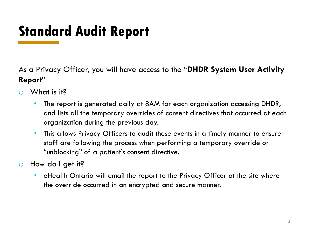## **Standard Audit Report**

As a Privacy Officer, you will have access to the "**DHDR System User Activity Report**"

- $\circ$  What is it?
	- The report is generated daily at 8AM for each organization accessing DHDR, and lists all the temporary overrides of consent directives that occurred at each organization during the previous day.
	- This allows Privacy Officers to audit these events in a timely manner to ensure staff are following the process when performing a temporary override or "unblocking" of a patient's consent directive.
- o How do I get it?
	- eHealth Ontario will email the report to the Privacy Officer at the site where the override occurred in an encrypted and secure manner.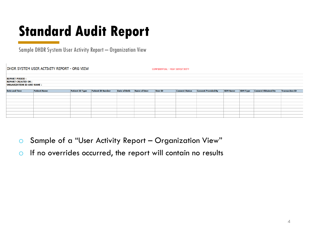## **Standard Audit Report**

Sample DHDR System User Activity Report – Organization View

DHDR SYSTEM USER ACTIVITY REPORT - ORG VIEW

CONFIDENTIAL - HIGH SENSITIVITY

| <b>REPORT PERIOD :</b>           |                     |                        |                          |                      |                     |         |                       |                            |                 |                 |                            |                       |
|----------------------------------|---------------------|------------------------|--------------------------|----------------------|---------------------|---------|-----------------------|----------------------------|-----------------|-----------------|----------------------------|-----------------------|
| <b>REPORT CREATED ON :</b>       |                     |                        |                          |                      |                     |         |                       |                            |                 |                 |                            |                       |
| <b>ORGANIZATION ID AND NAME:</b> |                     |                        |                          |                      |                     |         |                       |                            |                 |                 |                            |                       |
|                                  |                     |                        |                          |                      |                     |         |                       |                            |                 |                 |                            |                       |
|                                  |                     |                        |                          |                      |                     |         |                       |                            |                 |                 |                            |                       |
| <b>Date and Time</b>             | <b>Patient Name</b> | <b>Patient ID Type</b> | <b>Patient ID Number</b> | <b>Date of Birth</b> | <b>Name of User</b> | User ID | <b>Consent Status</b> | <b>Consent Provided By</b> | <b>SDM Name</b> | <b>SDM Type</b> | <b>Consent Obtained By</b> | <b>Transaction ID</b> |
|                                  |                     |                        |                          |                      |                     |         |                       |                            |                 |                 |                            |                       |
|                                  |                     |                        |                          |                      |                     |         |                       |                            |                 |                 |                            |                       |
|                                  |                     |                        |                          |                      |                     |         |                       |                            |                 |                 |                            |                       |
|                                  |                     |                        |                          |                      |                     |         |                       |                            |                 |                 |                            |                       |
|                                  |                     |                        |                          |                      |                     |         |                       |                            |                 |                 |                            |                       |
|                                  |                     |                        |                          |                      |                     |         |                       |                            |                 |                 |                            |                       |
|                                  |                     |                        |                          |                      |                     |         |                       |                            |                 |                 |                            |                       |
|                                  |                     |                        |                          |                      |                     |         |                       |                            |                 |                 |                            |                       |
|                                  |                     |                        |                          |                      |                     |         |                       |                            |                 |                 |                            |                       |
|                                  |                     |                        |                          |                      |                     |         |                       |                            |                 |                 |                            |                       |

- o Sample of a "User Activity Report Organization View"
- $\circ$  If no overrides occurred, the report will contain no results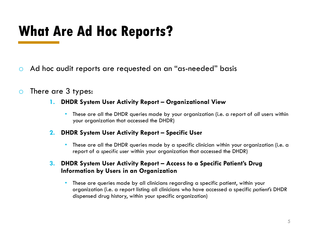### **What Are Ad Hoc Reports?**

- o Ad hoc audit reports are requested on an "as-needed" basis
- o There are 3 types:
	- **1. DHDR System User Activity Report – Organizational View**
		- These are all the DHDR queries made by your organization (i.e. a report of *all* users within your organization that accessed the DHDR)
	- **2. DHDR System User Activity Report – Specific User**
		- These are all the DHDR queries made by a specific clinician within your organization (i.e. a report of a *specific user* within your organization that accessed the DHDR)

### **3. DHDR System User Activity Report – Access to a Specific Patient's Drug Information by Users in an Organization**

• These are queries made by all clinicians regarding a specific patient, within your organization (i.e. a report listing all clinicians who have accessed a specific *patient's* DHDR dispensed drug history, within your specific organization)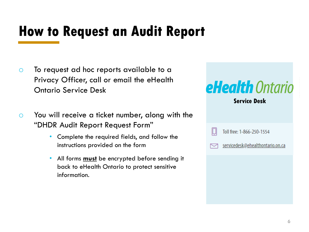### **How to Request an Audit Report**

- o To request ad hoc reports available to a Privacy Officer, call or email the eHealth Ontario Service Desk
- o You will receive a ticket number, along with the "DHDR Audit Report Request Form"
	- Complete the required fields, and follow the instructions provided on the form
	- All forms **must** be encrypted before sending it back to eHealth Ontario to protect sensitive information.

| <b>eHealth</b> Ontario<br><b>Service Desk</b> |
|-----------------------------------------------|
| Toll free: 1-866-250-1554                     |
| servicedesk@ehealthontario.on.ca              |
|                                               |
|                                               |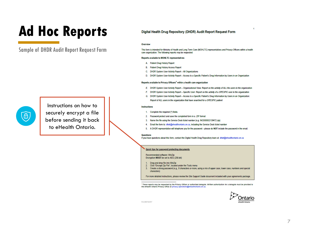### **Ad Hoc Reports**

Sample of DHDR Audit Report Request Form



Instructions on how to securely encrypt a file before sending it back to eHealth Ontario.

### Digital Health Drug Repository (DHDR) Audit Report Request Form

### Overview

This form is intended for Ministry of Health and Long Term Care (MOHLTC) representatives and Privacy Officers within a health care organization. The following reports may be requested:

### **Reports available to MOHLTC representatives**

- A. Patient Drug History Report
- B. Patient Drug History Access Report
- C. DHDR System User Activity Report All Organizations
- D. DHDR System User Activity Report Access to a Specific Patient's Drug Information by Users in an Organization

### Reports available to Privacy Officers<sup>1</sup> within a health care organization

- E. DHDR System User Activity Report Organizational View: Report on the activity of ALL the users in the organization
- F. DHDR System User Activity Report Specific User: Report on the activity of a SPECIFIC user in the organization
- G. DHDR System User Activity Report Access to a Specific Patient's Drug Information by Users in an Organization: Report of ALL users in the organization that have searched for a SPECIFIC patient

### **Instructions**

- 1. Complete the required (\*) fields.
- $2.$ Password protect and save the completed form in a .ZIP format
- $3.$ Name the file using the Service Desk ticket number (e.g. INC000002139472.zip)
- Email the form to: dhdr@ehealthontario.on.ca, including the Service Desk ticket number  $\boldsymbol{4}$
- 5. A DHDR representative will telephone you for the password please do NOT include the password in the email.

### **Questions**

If you have questions about this form, contact the Digital Health Drug Repository team at: dhdr@ehealthontario.on.ca

### **Quick tips for password protecting documents**

Recommended software: WinZip Encryption MUST be set to AES (256-bit)

- Drag and drop file into WinZip
- Click "Encrypt Zip File", located under the Tools menu
- Create a strong password (e.g., 8 characters or more, using a mix of upper case, lower case, numbers and special  $3.$ characters)

For more detailed instructions, please review the Site Support Guide document included with your agreements package.

<sup>1</sup> These reports may be requested by the Privacy Officer or authorized delegate. Written authorization for a delegate must be provided to the eHealth Ontario Privacy Office at privacy.operations@ehealthontario.on.ca.

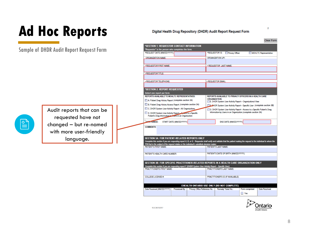### **Ad Hoc Reports**

Sample of DHDR Audit Report Request Form



Audit reports that can be requested have not changed – but re-named with more user-friendly language.

### Digital Health Drug Repository (DHDR) Audit Report Request Form Clear Form \*SECTION 1: REQUESTOR CONTACT INFORMATION "Requestor" is the person who completes the form. \*REQUEST DATE (MM/DD/YYYY) \*REQUESTOR IS: Privacy Officer MOHLTC Representative **ORGANIZATION NAME: ORGANIZATION UPI:** \* REQUESTOR FIRST NAME: \* REQUESTOR LAST NAME \* REQUESTOR TITLE: \* REQUESTOR TELEPHONE: **REQUESTOR EMAIL** \*SECTION 2: REPORT REQUESTED Select one report per form. **REPORTS AVAILABLE TO MOHLTC REPRESENTATIVES:** REPORTS AVAILABLE TO PRIVACY OFFICERS IN A HEALTH CARE **ORGANIZATION:** A. Patient Drug History Report (complete section 3A) E. DHDR System User Activity Report - Organizational View B. Patient Drug History Access Report (complete section 3A) **E-BHDR System User Activity Report - Specific User (complete section 3B)** C. DHDR System User Activity Report - All Organizations G. DHDR System User Activity Report - Access to a Specific Patient's Drug Information by Users in an Organization (complete section 3A) D. DHDR System User Activity Report - Access to a Specific Patient's Drug Information by Users in an Organization DATE RANGE: START DATE (MM/DD/YYYY): END DATE (MM/DD/YYYY): **COMMENTS SECTION 3A: FOR PATIENT-RELATED REPORTS ONLY** Complete this section if you are requesting report A, B, or G. Requestor shall verify and validate that the patient making the request is the individual to whom the PHI that is the subject of the request relates or the individual's substitute decision maker. **PATIENT'S LAST NAME: PATIENT'S FIRST NAME** PATIENT'S DATE OF BIRTH (MMDD/YYYY): PATIENT'S HEALTH CARD NUMBER: SECTION 3B: FOR SPECIFIC PRACTITIONER-RELATED REPORTS IN A HEALTH CARE ORGANIZATION ONLY Complete this section if you are requesting report F (DHDR System User Activity Report - Specific User). **PRACTITIONER'S FIRST NAME:** PRACTITIONER'S LAST NAME: **COLLEGE LICENSE#** PRACTITIONER'S ID (IF AVAILABLE): EHEALTH ONTARIO USE ONLY (DO NOT COMPLETE) Date Received (MM/DD/YYYY): Processed By: Privacy Office Reference No.: Remedy Ticket No.: Form completed: Date Resolved:  $\blacksquare$  Yes



 $\overline{2}$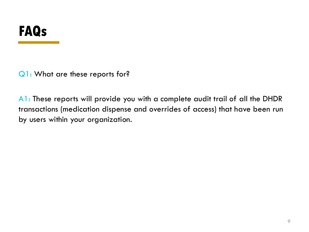Q1: What are these reports for?

A1: These reports will provide you with a complete audit trail of all the DHDR transactions (medication dispense and overrides of access) that have been run by users within your organization.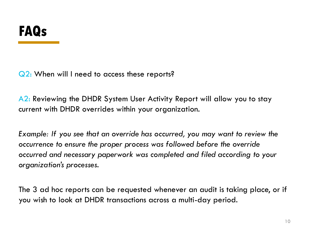Q2: When will I need to access these reports?

A2: Reviewing the DHDR System User Activity Report will allow you to stay current with DHDR overrides within your organization.

*Example: If you see that an override has occurred, you may want to review the occurrence to ensure the proper process was followed before the override occurred and necessary paperwork was completed and filed according to your organization's processes.* 

The 3 ad hoc reports can be requested whenever an audit is taking place, or if you wish to look at DHDR transactions across a multi-day period.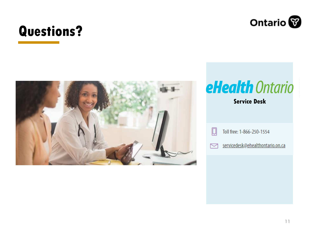

### **Questions?**



## eHealth Ontario

### **Service Desk**



Toll free: 1-866-250-1554

servicedesk@ehealthontario.on.ca